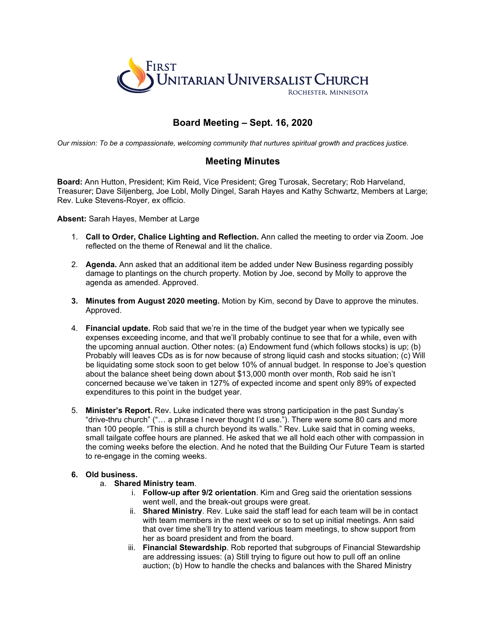

# **Board Meeting – Sept. 16, 2020**

*Our mission: To be a compassionate, welcoming community that nurtures spiritual growth and practices justice.*

## **Meeting Minutes**

**Board:** Ann Hutton, President; Kim Reid, Vice President; Greg Turosak, Secretary; Rob Harveland, Treasurer; Dave Siljenberg, Joe Lobl, Molly Dingel, Sarah Hayes and Kathy Schwartz, Members at Large; Rev. Luke Stevens-Royer, ex officio.

#### **Absent:** Sarah Hayes, Member at Large

- 1. **Call to Order, Chalice Lighting and Reflection.** Ann called the meeting to order via Zoom. Joe reflected on the theme of Renewal and lit the chalice.
- 2. **Agenda.** Ann asked that an additional item be added under New Business regarding possibly damage to plantings on the church property. Motion by Joe, second by Molly to approve the agenda as amended. Approved.
- **3. Minutes from August 2020 meeting.** Motion by Kim, second by Dave to approve the minutes. Approved.
- 4. **Financial update.** Rob said that we're in the time of the budget year when we typically see expenses exceeding income, and that we'll probably continue to see that for a while, even with the upcoming annual auction. Other notes: (a) Endowment fund (which follows stocks) is up; (b) Probably will leaves CDs as is for now because of strong liquid cash and stocks situation; (c) Will be liquidating some stock soon to get below 10% of annual budget. In response to Joe's question about the balance sheet being down about \$13,000 month over month, Rob said he isn't concerned because we've taken in 127% of expected income and spent only 89% of expected expenditures to this point in the budget year.
- 5. **Minister's Report.** Rev. Luke indicated there was strong participation in the past Sunday's "drive-thru church" ("… a phrase I never thought I'd use."). There were some 80 cars and more than 100 people. "This is still a church beyond its walls." Rev. Luke said that in coming weeks, small tailgate coffee hours are planned. He asked that we all hold each other with compassion in the coming weeks before the election. And he noted that the Building Our Future Team is started to re-engage in the coming weeks.

#### **6. Old business.**

- a. **Shared Ministry team**.
	- i. **Follow-up after 9/2 orientation**. Kim and Greg said the orientation sessions went well, and the break-out groups were great.
	- ii. **Shared Ministry**. Rev. Luke said the staff lead for each team will be in contact with team members in the next week or so to set up initial meetings. Ann said that over time she'll try to attend various team meetings, to show support from her as board president and from the board.
	- iii. **Financial Stewardship**. Rob reported that subgroups of Financial Stewardship are addressing issues: (a) Still trying to figure out how to pull off an online auction; (b) How to handle the checks and balances with the Shared Ministry